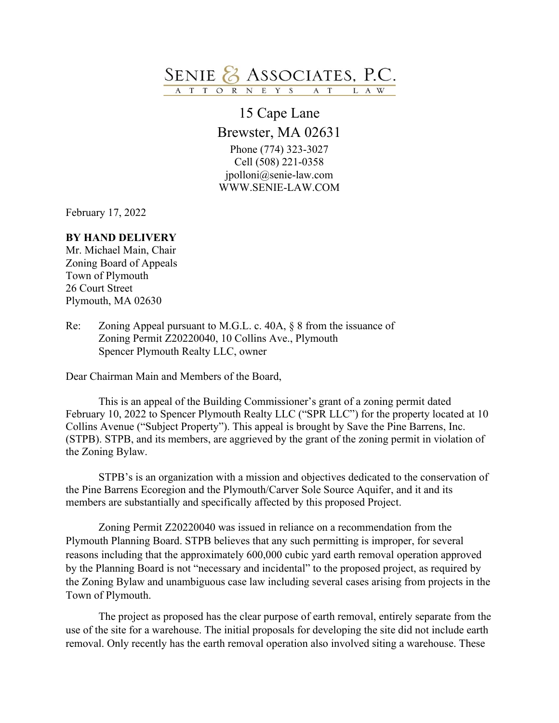

## 15 Cape Lane Brewster, MA 02631

Phone (774) 323-3027 Cell (508) 221-0358 jpolloni@senie-law.com WWW.SENIE-LAW.COM

February 17, 2022

## **BY HAND DELIVERY**

Mr. Michael Main, Chair Zoning Board of Appeals Town of Plymouth 26 Court Street Plymouth, MA 02630

Re: Zoning Appeal pursuant to M.G.L. c. 40A, § 8 from the issuance of Zoning Permit Z20220040, 10 Collins Ave., Plymouth Spencer Plymouth Realty LLC, owner

Dear Chairman Main and Members of the Board,

This is an appeal of the Building Commissioner's grant of a zoning permit dated February 10, 2022 to Spencer Plymouth Realty LLC ("SPR LLC") for the property located at 10 Collins Avenue ("Subject Property"). This appeal is brought by Save the Pine Barrens, Inc. (STPB). STPB, and its members, are aggrieved by the grant of the zoning permit in violation of the Zoning Bylaw.

STPB's is an organization with a mission and objectives dedicated to the conservation of the Pine Barrens Ecoregion and the Plymouth/Carver Sole Source Aquifer, and it and its members are substantially and specifically affected by this proposed Project.

Zoning Permit Z20220040 was issued in reliance on a recommendation from the Plymouth Planning Board. STPB believes that any such permitting is improper, for several reasons including that the approximately 600,000 cubic yard earth removal operation approved by the Planning Board is not "necessary and incidental" to the proposed project, as required by the Zoning Bylaw and unambiguous case law including several cases arising from projects in the Town of Plymouth.

The project as proposed has the clear purpose of earth removal, entirely separate from the use of the site for a warehouse. The initial proposals for developing the site did not include earth removal. Only recently has the earth removal operation also involved siting a warehouse. These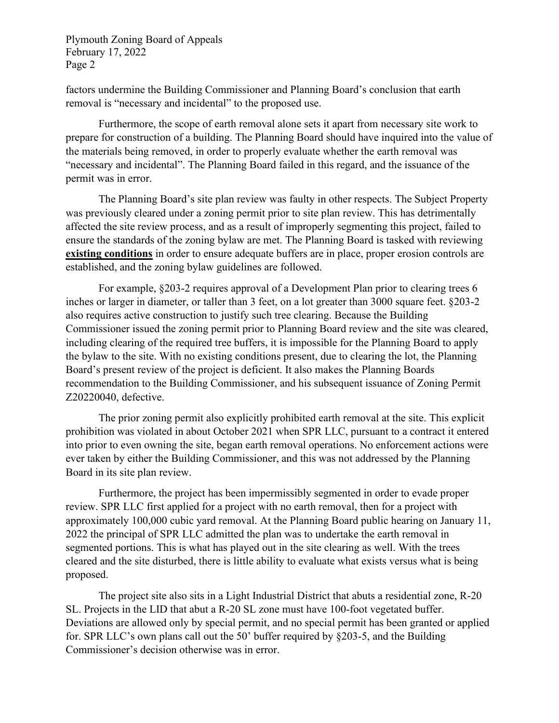Plymouth Zoning Board of Appeals February 17, 2022 Page 2

factors undermine the Building Commissioner and Planning Board's conclusion that earth removal is "necessary and incidental" to the proposed use.

Furthermore, the scope of earth removal alone sets it apart from necessary site work to prepare for construction of a building. The Planning Board should have inquired into the value of the materials being removed, in order to properly evaluate whether the earth removal was "necessary and incidental". The Planning Board failed in this regard, and the issuance of the permit was in error.

The Planning Board's site plan review was faulty in other respects. The Subject Property was previously cleared under a zoning permit prior to site plan review. This has detrimentally affected the site review process, and as a result of improperly segmenting this project, failed to ensure the standards of the zoning bylaw are met. The Planning Board is tasked with reviewing **existing conditions** in order to ensure adequate buffers are in place, proper erosion controls are established, and the zoning bylaw guidelines are followed.

For example, §203-2 requires approval of a Development Plan prior to clearing trees 6 inches or larger in diameter, or taller than 3 feet, on a lot greater than 3000 square feet. §203-2 also requires active construction to justify such tree clearing. Because the Building Commissioner issued the zoning permit prior to Planning Board review and the site was cleared, including clearing of the required tree buffers, it is impossible for the Planning Board to apply the bylaw to the site. With no existing conditions present, due to clearing the lot, the Planning Board's present review of the project is deficient. It also makes the Planning Boards recommendation to the Building Commissioner, and his subsequent issuance of Zoning Permit Z20220040, defective.

The prior zoning permit also explicitly prohibited earth removal at the site. This explicit prohibition was violated in about October 2021 when SPR LLC, pursuant to a contract it entered into prior to even owning the site, began earth removal operations. No enforcement actions were ever taken by either the Building Commissioner, and this was not addressed by the Planning Board in its site plan review.

Furthermore, the project has been impermissibly segmented in order to evade proper review. SPR LLC first applied for a project with no earth removal, then for a project with approximately 100,000 cubic yard removal. At the Planning Board public hearing on January 11, 2022 the principal of SPR LLC admitted the plan was to undertake the earth removal in segmented portions. This is what has played out in the site clearing as well. With the trees cleared and the site disturbed, there is little ability to evaluate what exists versus what is being proposed.

The project site also sits in a Light Industrial District that abuts a residential zone, R-20 SL. Projects in the LID that abut a R-20 SL zone must have 100-foot vegetated buffer. Deviations are allowed only by special permit, and no special permit has been granted or applied for. SPR LLC's own plans call out the 50' buffer required by  $\S 203-5$ , and the Building Commissioner's decision otherwise was in error.